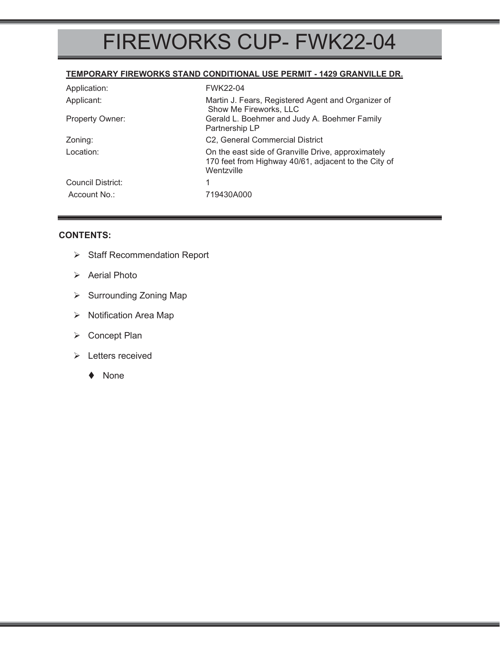### FIREWORKS CUP- FWK22-04

#### **TEMPORARY FIREWORKS STAND CONDITIONAL USE PERMIT - 1429 GRANVILLE DR.**

| Application:           | <b>FWK22-04</b>                                                                                                          |  |
|------------------------|--------------------------------------------------------------------------------------------------------------------------|--|
| Applicant:             | Martin J. Fears, Registered Agent and Organizer of<br>Show Me Fireworks, LLC                                             |  |
| <b>Property Owner:</b> | Gerald L. Boehmer and Judy A. Boehmer Family<br>Partnership LP                                                           |  |
| Zoning:                | C2, General Commercial District                                                                                          |  |
| Location:              | On the east side of Granville Drive, approximately<br>170 feet from Highway 40/61, adjacent to the City of<br>Wentzville |  |
| Council District:      |                                                                                                                          |  |
| Account No.:           | 719430A000                                                                                                               |  |

#### **CONTENTS:**

- ¾ Staff Recommendation Report
- $\triangleright$  Aerial Photo
- ▶ Surrounding Zoning Map
- ¾ Notification Area Map
- ¾ Concept Plan
- ¾ Letters received
	- ◆ None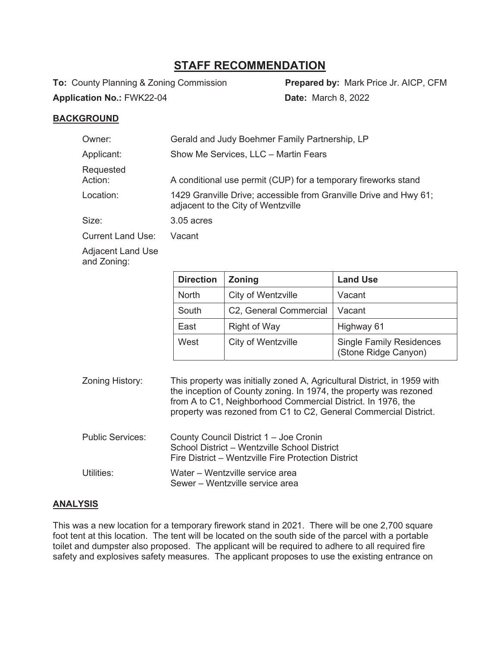### **STAFF RECOMMENDATION**

**To:** County Planning & Zoning Commission **Prepared by:** Mark Price Jr. AICP, CFM **Application No.:** FWK22-04 **Date:** March 8, 2022

#### **BACKGROUND**

| Owner:                   | Gerald and Judy Boehmer Family Partnership, LP                                                          |  |
|--------------------------|---------------------------------------------------------------------------------------------------------|--|
| Applicant:               | Show Me Services, LLC - Martin Fears                                                                    |  |
| Requested<br>Action:     | A conditional use permit (CUP) for a temporary fireworks stand                                          |  |
| Location:                | 1429 Granville Drive; accessible from Granville Drive and Hwy 61;<br>adjacent to the City of Wentzville |  |
| Size:                    | $3.05$ acres                                                                                            |  |
| <b>Current Land Use:</b> | Vacant                                                                                                  |  |
|                          |                                                                                                         |  |

Adjacent Land Use and Zoning:

| <b>Direction</b> | <b>Zoning</b>          | <b>Land Use</b>                                         |
|------------------|------------------------|---------------------------------------------------------|
| <b>North</b>     | City of Wentzville     | Vacant                                                  |
| South            | C2, General Commercial | Vacant                                                  |
| East             | <b>Right of Way</b>    | Highway 61                                              |
| West             | City of Wentzville     | <b>Single Family Residences</b><br>(Stone Ridge Canyon) |

Zoning History: This property was initially zoned A, Agricultural District, in 1959 with the inception of County zoning. In 1974, the property was rezoned from A to C1, Neighborhood Commercial District. In 1976, the property was rezoned from C1 to C2, General Commercial District. Public Services: County Council District 1 – Joe Cronin School District – Wentzville School District Fire District – Wentzville Fire Protection District Utilities: Water – Wentzville service area

Sewer – Wentzville service area

#### **ANALYSIS**

This was a new location for a temporary firework stand in 2021. There will be one 2,700 square foot tent at this location. The tent will be located on the south side of the parcel with a portable toilet and dumpster also proposed. The applicant will be required to adhere to all required fire safety and explosives safety measures. The applicant proposes to use the existing entrance on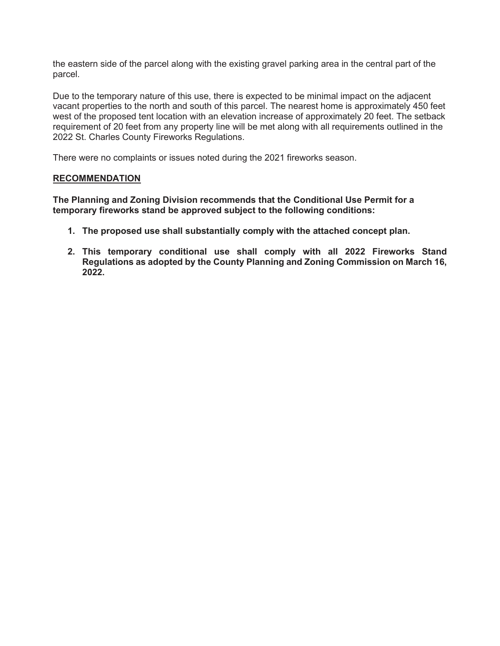the eastern side of the parcel along with the existing gravel parking area in the central part of the parcel.

Due to the temporary nature of this use, there is expected to be minimal impact on the adjacent vacant properties to the north and south of this parcel. The nearest home is approximately 450 feet west of the proposed tent location with an elevation increase of approximately 20 feet. The setback requirement of 20 feet from any property line will be met along with all requirements outlined in the 2022 St. Charles County Fireworks Regulations.

There were no complaints or issues noted during the 2021 fireworks season.

#### **RECOMMENDATION**

**The Planning and Zoning Division recommends that the Conditional Use Permit for a temporary fireworks stand be approved subject to the following conditions:** 

- **1. The proposed use shall substantially comply with the attached concept plan.**
- **2. This temporary conditional use shall comply with all 2022 Fireworks Stand Regulations as adopted by the County Planning and Zoning Commission on March 16, 2022.**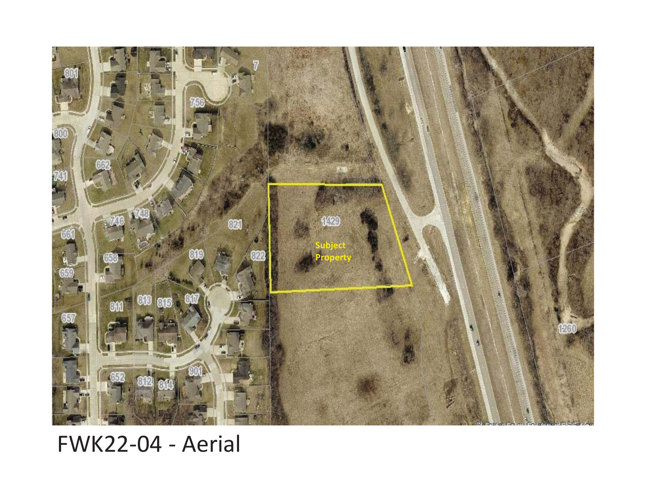

## FWK22-04 - Aerial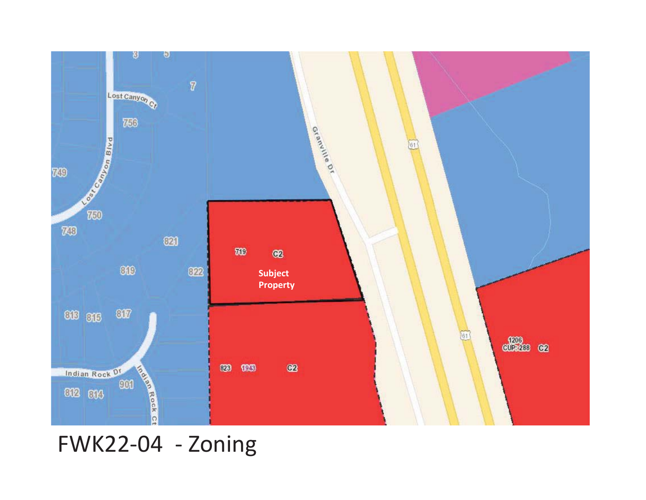

FWK22-04 - Zoning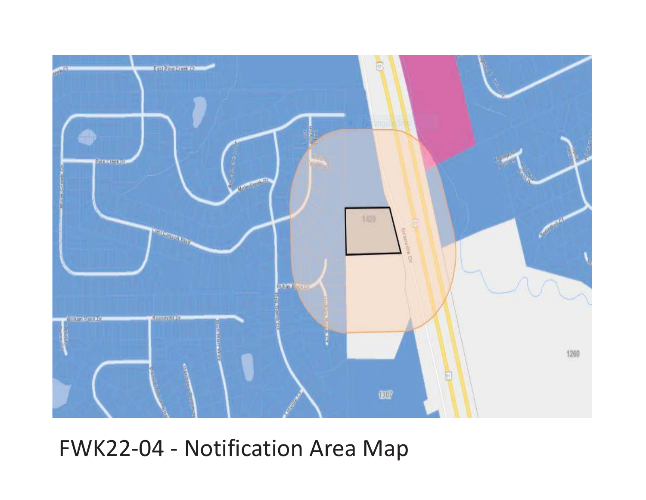

# FWK22-04 - Notification Area Map